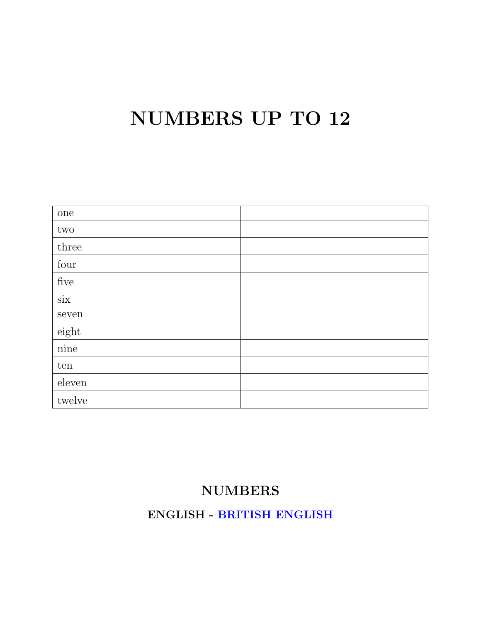## NUMBERS UP TO 12

| one                       |  |
|---------------------------|--|
| $\mathop{\text{\rm two}}$ |  |
| three                     |  |
| four                      |  |
| ${\rm five}$              |  |
| $\dot{\rm six}$           |  |
| ${\tt seven}$             |  |
| eighth                    |  |
| nine                      |  |
| ten                       |  |
| ${\rm eleven}$            |  |
| twelve                    |  |

### NUMBERS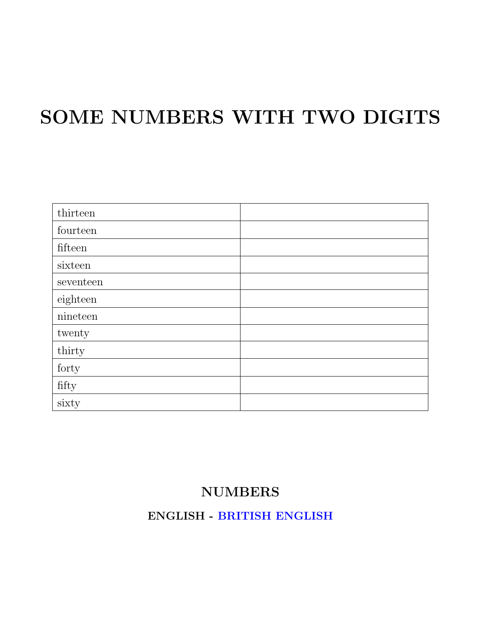# SOME NUMBERS WITH TWO DIGITS

| thirteen               |  |
|------------------------|--|
| fourteen               |  |
| fifteen                |  |
| sixteen                |  |
| seventeen              |  |
| eighteen               |  |
| nineteen               |  |
| twenty                 |  |
| thirty                 |  |
| forty                  |  |
| $\operatorname{fifty}$ |  |
| sixty                  |  |

#### NUMBERS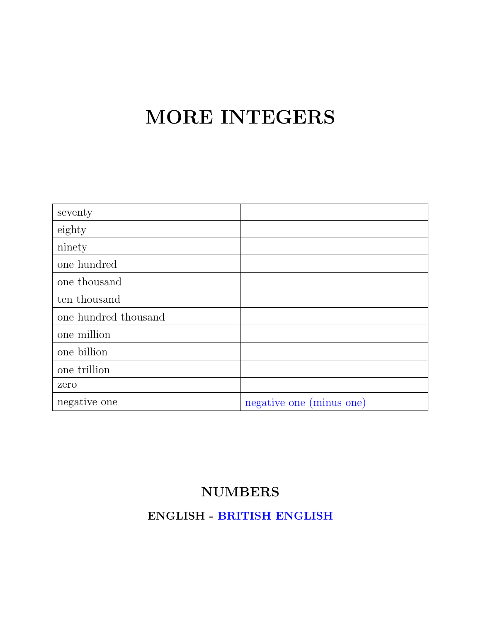## MORE INTEGERS

| seventy              |                          |
|----------------------|--------------------------|
| eighty               |                          |
| ninety               |                          |
| one hundred          |                          |
| one thousand         |                          |
| ten thousand         |                          |
| one hundred thousand |                          |
| one million          |                          |
| one billion          |                          |
| one trillion         |                          |
| zero                 |                          |
| negative one         | negative one (minus one) |

### NUMBERS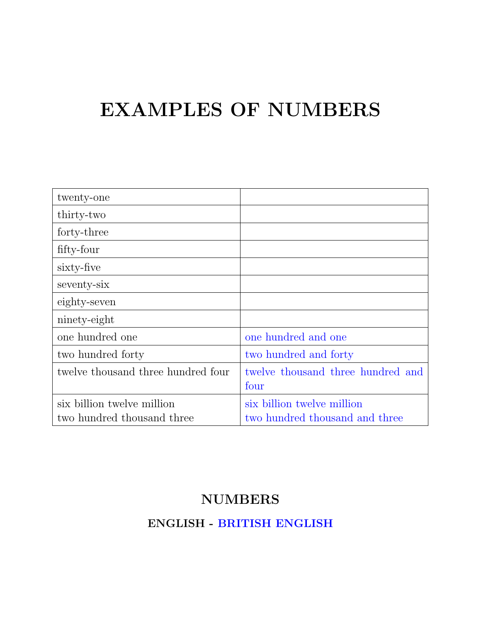## EXAMPLES OF NUMBERS

| twenty-one                         |                                   |
|------------------------------------|-----------------------------------|
| thirty-two                         |                                   |
| forty-three                        |                                   |
| fifty-four                         |                                   |
| sixty-five                         |                                   |
| seventy-six                        |                                   |
| eighty-seven                       |                                   |
| ninety-eight                       |                                   |
| one hundred one                    | one hundred and one               |
| two hundred forty                  | two hundred and forty             |
| twelve thousand three hundred four | twelve thousand three hundred and |
|                                    | four                              |
| six billion twelve million         | six billion twelve million        |
| two hundred thousand three         | two hundred thousand and three    |

### NUMBERS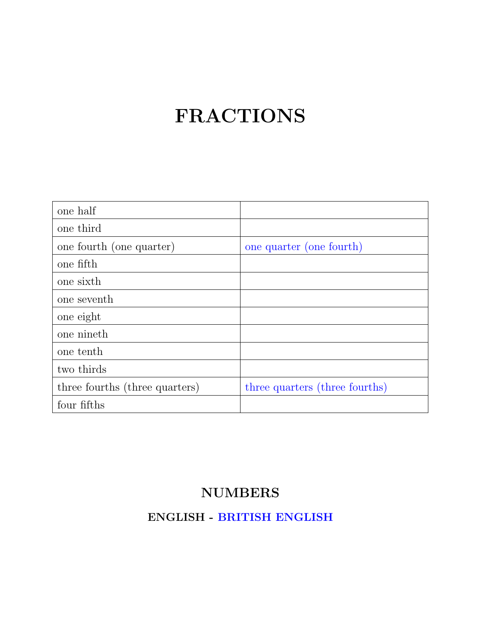# FRACTIONS

| one half                       |                                |
|--------------------------------|--------------------------------|
| one third                      |                                |
| one fourth (one quarter)       | one quarter (one fourth)       |
| one fifth                      |                                |
| one sixth                      |                                |
| one seventh                    |                                |
| one eight                      |                                |
| one nineth                     |                                |
| one tenth                      |                                |
| two thirds                     |                                |
| three fourths (three quarters) | three quarters (three fourths) |
| four fifths                    |                                |

### NUMBERS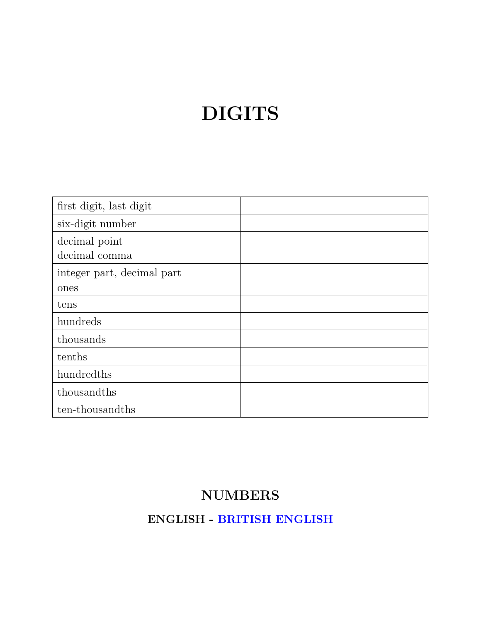# DIGITS

| first digit, last digit        |  |
|--------------------------------|--|
| six-digit number               |  |
| decimal point<br>decimal comma |  |
| integer part, decimal part     |  |
| ones                           |  |
| tens                           |  |
| hundreds                       |  |
| thousands                      |  |
| tenths                         |  |
| hundredths                     |  |
| thousandths                    |  |
| ten-thousandths                |  |

### NUMBERS